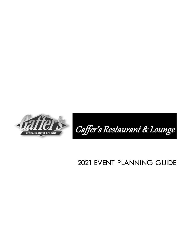



# EVENT PLANNING GUIDE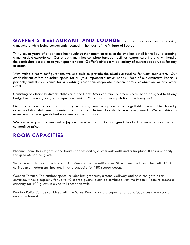**GAFFER'S RESTAURANT AND LOUNGE** offers a secluded and welcoming atmosphere while being conveniently located in the heart of the Village of Lockport.

Thirty-seven years of experience has taught us that attention to even the smallest detail is the key to creating a memorable experience. Our establishment has complete banquet facilities, expert catering and will handle the particulars according to your specific needs. Gaffer's offers a wide variety of customized services for any occasion.

With multiple room configurations, we are able to provide the ideal surrounding for your next event. Our establishment offers abundant space for all your important function needs. Each of our distinctive Rooms is perfectly suited as a venue for a wedding reception, corporate function, family celebration, or any other event.

Consisting of ethnically diverse dishes and fine North American fare, our menus have been designed to fit any budget and assure your guests impressive cuisine. "Our food is our reputation…. ask anyone!"

Gaffer's personal service is a priority in making your reception an unforgettable event. Our friendly accommodating staff are professionally attired and trained to cater to your every need. We will strive to make you and your guests feel welcome and comfortable.

We welcome you to come and enjoy our genuine hospitality and great food all at very reasonable and competitive prices.

## **ROOM CAPACITIES**

Phoenix Room: This elegant space boasts floor-to-ceiling custom oak walls and a fireplace. It has a capacity for up to 50 seated guests.

Sunset Room: This ballroom has amazing views of the sun setting over St. Andrews Lock and Dam with 15 ft. ceilings and modern architecture. It has a capacity for 180 seated guests.

Garden Terrace: This outdoor space includes lush greenery, a stone walkway and cast-iron gate as an entrance. It has a capacity for up to 40 seated guests. It can be combined with the Phoenix Room to create a capacity for 100 guests in a cocktail reception style.

Rooftop Patio: Can be combined with the Sunset Room to add a capacity for up to 300 guests in a cocktail reception format.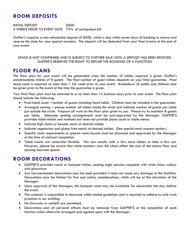## **ROOM DEPOSITS**

INITIAL DEPOSIT \$500 2 WEEKS PRIOR TO EVENT DATE 75% of anticipated bill

Gaffer's requires a non-refundable deposit of \$500, which is due within seven days of booking to ensure and reserve the date for your special occasion. The deposit will be deducted from your final invoice at the end of your event.

SPACE IS NOT CONFIRMED AND IS SUBJECT TO FURTHER SALE UNTIL A DEPOSIT HAS BEEN RECEIVED. GAFFER'S RESERVES THE RIGHT TO REFUSE THE BOOKING OF A FUNCTION.

#### **FLOOR PLANS**

The floor plan for your event will be generated when the number of tables required is given. Gaffer's accommodates tables of 8 guests. The final number of guest tables depends on your final guarantee. Final head count is required no later than 1 full week prior to your event. Breakdown of adults and children must be given prior to the event at the time the guarantee is given.

Your final floor plan must be returned to us no later than 14 business days prior to your event. The floor plan should include the following:

- Final head count number of guests including head table. Children must be included in the guarantee.
- Arranged seating please number all tables inside the circle and indicate number of guests per table just outside the circle. Prepare all work on the floor plan given to you. Please try to maintain 8 guests per table. Alternate seating arrangements must be pre-approved by the Manager. GAFFER'S provides table stands and numbers but does not provide place cards or table menus.
- Indicate high chairs or booster seats at desired tables.
- Indicate vegetarian and gluten free meals at desired tables. (See special meal request section.)
- Specific room requirements or special room layouts must be discussed and approved by the Manager at the time of contract completion.
- Table counts are somewhat flexible. We can usually add a few more tables or take a few out. However, please be aware that table numbers over the ideal affect the size of the dance floor and spacing between guests.

### **ROOM DECORATIONS**

- GAFFER'S provides round or banquet tables, seating eight persons complete with white china, cutlery and glassware.
- Any non-permanent decorations may be used provided it does not cause any damage to the facilities. Decorations may be limited for fire and safety considerations, which will be at the discretion of the Manager.
- Upon approval of the Manager, the banquet room may be available for decoration the day before the event.
- The customer is responsible to decorate within stated guidelines and is required to adhere to safe work practices in our building.
- No fireworks or confetti are permitted.
- Decorations and all personal effects must be removed from GAFFER'S at the completion of each function unless otherwise arranged and agreed upon with the Manager.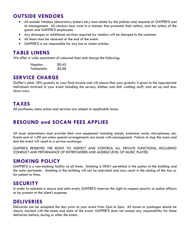## **OUTSIDE VENDORS**

- All outside Vendors (decorators, bakers etc.) must abide by the policies and requests of GAFFER'S and its management. All vendors must work in a manner that promotes their safety, and the safety of the guests and GAFFER'S employees.
- Any damages or additional services required by vendors will be charged to the customer.
- All items must be removed at the end of the event.
- GAFFER'S is not responsible for any lost or stolen articles.

#### **TABLE LINENS**

We offer a wide assortment of coloured linen and charge the following:

| <b>Napkins</b>     | \$0.45 |
|--------------------|--------|
| <b>Tablecloths</b> | \$5.00 |

#### **SERVICE CHARGE**

Gaffer's adds 18% gratuity to your final invoice and will ensure that your gratuity is given to the appropriate individuals involved in your event including the servers, kitchen and dish washing staff, and set up and tear down crew.

## **TAXES**

All purchases, menu prices and services are subject to applicable taxes.

## **RESOUND and SOCAN FEES APPLIES**

All music entertainers must provide their own equipment including stands, extension cords, microphones, etc. Events end at 1:00 am unless special arrangements are made with management. Failure to stop the music and end the event will result in a service surcharge.

GAFFER'S RESERVES THE RIGHT TO INSPECT AND CONTROL ALL PRIVATE FUNCTIONS, INCLUDING CONDUCT AND PEFORMANCE OF ENTERTAINERS AND AUDIBLE LEVEL OF MUSIC PLAYED.

### **SMOKING POLICY**

GAFFER'S is a non-smoking facility at all times. Smoking is ONLY permitted in the patios of the building and the outer perimeter. Smoking in the building will not be tolerated and may result in the closing of the bar or be subject to fines.

### **SECURITY**

In order to maintain a secure and safe event, GAFFER'S reserves the right to request security or police officers to be present at the client's expense.

#### **DELIVERIES**

Deliveries can be accepted the day prior to your event from 2pm to 5pm. All boxes or packages should be clearly marked with the name and date of the event. GAFFER'S does not accept any responsibility for these deliveries before, during or after the event.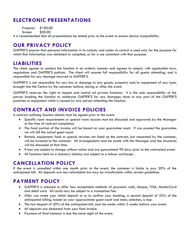## **ELECTRONIC PRESENTATIONS**

Projector \$100.00 Screen \$50.00

It is recommended that all presentations be tested prior to the event to ensure device compatibility.

### **OUR PRIVACY POLICY**

GAFFER'S ensures that personal information in its custody and under its control is used only for the purpose for which that information was obtained or compiled, or for a use consistent with that purpose.

#### **LIABILITIES**

The client agrees to conduct the function in an orderly manner and agrees to comply with applicable laws, regulations and GAFFER'S policies. The client will assume full responsibility for all guests attending, and is responsible for any damage incurred to GAFFER'S.

GAFFER'S is not responsible for any loss or damage to any goods, property and/or equipment of any type, brought into the Centre by the convener before, during or after the event.

GAFFER'S reserves the right to inspect and control all private functions. It is the sole responsibility of the person booking the function to reimburse GAFFER'S for any damages done to any part of the GAFFER'S premises or equipment which is caused by any person attending the function.

## **CONTRACT AND INVOICE POLICIES**

A contract outlining function details must be signed prior to the event.

- Specific room requirements or special room layouts must be discussed and approved by the Manager at the time of contract completion.
- The food portion of the invoice will be based on your guarantee count. If you exceed the guarantee we will bill the actual guest count.
- Rentals, equipment, food or special services not listed on the contract, but requested by the customer, will be invoiced to the customer. All arrangements must be made with the Manager and fee structures will be discussed at that time.
- Prices are subject to change without notice and are guaranteed 90 days prior to the contracted event.
- All functions held on a statutory holiday are subject to a labour surcharge.

## **CANCELLATION POLICY**

If the event is cancelled within one month prior to the event, the customer is liable to pay 50% of the anticipated bill. All deposits are non-refundable but may be transferable within certain guidelines.

## **PAYMENT POLICY**

- GAFFER'S is pleased to offer four acceptable methods of payment: cash, cheque, VISA, MasterCard and debit card. All cards may be subject to a transaction fee.
- After you make your initial deposit to us to confirm your booking, a second deposit of 25% of the anticipated billing, based on your approximate guest count and menu selection, is due.
- The last deposit of 50% of the anticipated bill, must be made within 2 weeks before your event.
- All deposits are deducted from your final invoice.
- Payment of final balance is due the same night of the event.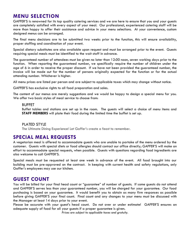## **MENU SELECTION**

GAFFER'S is renowned for its top quality catering services and we are here to ensure that you and your guests are completely satisfied with every aspect of your meal. Our professional, experienced catering staff will be more than happy to offer their assistance and advice in your menu selections. At your convenience, custom designed menus can be arranged.

The final menu decisions are to be submitted two weeks prior to the function, this will ensure availability, proper staffing and coordination of your event.

Special dietary substitutes are also available upon request and must be arranged prior to the event. Guests requiring special meals must be identified to the wait staff in advance.

The guaranteed number of attendees must be given no later than 12:00 noon, seven working days prior to the function. When reporting the guaranteed number, we specifically require the number of children under the age of 6 in order to receive the proper discount. If we have not been provided the guaranteed number, the invoice will be made out for the number of persons originally expected for the function or for the actual attending number. Whichever is higher.

All menu prices are listed per person and are subject to applicable taxes which may change without notice.

GAFFER'S has exclusive rights to all food preparation and sales.

The content of our menus are merely suggestions and we would be happy to design a special menu for you. We offer two basic styles of meal service to choose from:

#### BUFFET

Buffet tables and stations are set up in the room. The guests will select a choice of menu items and **STAFF MEMBERS** will plate their food during the limited time the buffet is set up.

#### PLATED STYLE

The Ultimate Dining Experience! Let Gaffer's create a feast to remember.

#### **SPECIAL MEAL REQUESTS**

A vegetarian meal is offered to accommodate guests who are unable to partake of the menu ordered by the customer. Guests with special diets or food allergies should contact our office directly; GAFFER'S will make an effort to accommodate special requests, when possible. Guests with questions regarding food ingredients are also welcome to call GAFFER'S.

Special meals must be requested at least one week in advance of the event. All food brought into our building must be pre-approved on the contract. In keeping with current health and safety regulations, only Gaffer's employees may use our kitchen.

#### **GUEST COUNT**

You will be billed for your final head count or "guarantee" of number of guests. If some guests do not attend and GAFFER'S serves less than your guaranteed number, you will be charged for your guarantee. Our food purchasing is based on your guarantee. It would benefit you to obtain as many firm responses as possible before giving GAFFER'S your final count. Final count and any changes to your menu must be discussed with the Manager at least 14 days prior to your event.

Please be accurate with your guest's head count. Do not over or under estimate! GAFFER'S ensures an adequate supply of food for all your guests if a proper guarantee is given.

*Prices are subject to applicable taxes and gratuity.*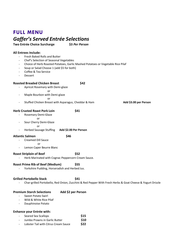## **FULL MENU**

## *Gaffer's Served Entrée Selections*

**Two Entrée Choice Surcharge \$3** *Per Person*

#### **All Entrees Include:**

- Fresh Baked Rolls and Butter
- Chef's Selection of Seasonal Vegetables
- Choice of Herb Roasted Potatoes, Garlic Mashed Potatoes or Vegetable Rice Pilaf
- Soup or Salad Choose 1 (add \$5 for both)
- Coffee & Tea Service
- Dessert

#### **Roasted Breaded Chicken Breast 642**

- Apricot Rosemary with Demi-glaze

**or** and the contract of the contract of the contract of the contract of the contract of the contract of the contract of the contract of the contract of the contract of the contract of the contract of the contract of the c

Maple Bourbon with Demi-glaze

**or** *or or* 

- Stuffed Chicken Breast with Asparagus, Cheddar & Ham **Add \$3.00 per Person**

#### **Herb Crusted Roast Pork Loin \$41**

- Rosemary Demi-Glaze
	-

- or
- Sour Cherry Demi-Glaze or
- Herbed Sausage Stuffing **Add \$2.00 Per Person**

#### **Atlantic Salmon \$46**

- Creamed Dill Sauce or
- Lemon Caper Beurre Blanc

#### **Roast Striploin of Beef \$52**

- Herb Marinated with Cognac Peppercorn Cream Sauce.

#### **Roast Prime Rib of Beef (Medium) \$55**

- Yorkshire Pudding, Horseradish and Herbed Jus.

#### **Grilled Portobello Stack \$41**

- Char-grilled Portobello, Red Onion, Zucchini & Red Pepper With Fresh Herbs & Goat Cheese & Yogurt Drizzle

#### **Premium Starch Selections Add \$2 per Person**

- Sweet Potato Swirl
- Wild & White Rice Pilaf
- Dauphinoise Potato

#### **Enhance your Entrée with:**

- Seared Sea Scallops **\$15**
- Jumbo Prawns in Garlic Butter **\$10**
- Lobster Tail with Citrus Cream Sauce **\$22**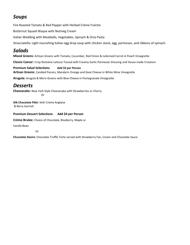## *Soups*

Fire Roasted Tomato & Red Pepper with Herbed Crème Fraiche

Butternut Squash Bisque with Nutmeg Cream

Italian Wedding with Meatballs, Vegetables, Spinach & Orzo Pasta

Stracciatella: Light nourishing Italian egg drop soup with chicken stock, egg, parmesan, and ribbons of spinach.

## *Salads*

**Mixed Greens:** Artisan Greens with Tomato, Cucumber, Red Onion & Julienned Carrot in Peach Vinaigrette

**Classic Caesar:** Crisp Romaine Lettuce Tossed with Creamy Garlic Parmesan Dressing and House made Croutons

**Premium Salad Selections Add \$3 per Person Artisan Greens:** Candied Pecans, Mandarin Orange and Goat Cheese in White Wine Vinaigrette

**Arugula:** Arugula & Micro Greens with Blue Cheese in Pomegranate Vinaigrette

### *Desserts*

**Cheesecake:** New York Style Cheesecake with Strawberries or Cherry **Oriented Street Control** 

**Silk Chocolate Pâté:** With Crème Anglaise & Berry Garnish

**Premium Dessert Selections Add \$4 per Person**

**Crème Brulee:** Choice of Chocolate, Blueberry, Maple or

Vanilla Bean

Or

**Chocolate Desire:** Chocolate Truffle Torte served with Strawberry Fan, Cream and Chocolate Sauce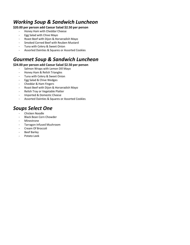## *Working Soup & Sandwich Luncheon*

#### **\$20.00 per person add Caesar Salad \$2.50 per person**

- Honey Ham with Cheddar Cheese
- Egg Salad with Chive Mayo
- Roast Beef with Dijon & Horseradish Mayo
- Smoked Corned Beef with Reuben Mustard
- Tuna with Celery & Sweet Onion
- Assorted Dainties & Squares or Assorted Cookies

## *Gourmet Soup & Sandwich Luncheon*

#### **\$24.00 per person add Caesar Salad \$2.50 per person**

- Salmon Wraps with Lemon Dill Mayo
- Honey Ham & Relish Triangles
- Tuna with Celery & Sweet Onion
- Egg Salad & Chive Wedges
- Cheddar & Ham Fingers
- Roast Beef with Dijon & Horseradish Mayo<br>- Relish Tray or Vegetable Platter
- Relish Tray or Vegetable Platter
- Imported & Domestic Cheese
- Assorted Dainties & Squares or Assorted Cookies

## *Soups Select One*

- Chicken Noodle
- Black Bean Corn Chowder
- **Minestrone**
- Tarragon Infused Mushroom
- Cream Of Broccoli
- Beef Barley
- Potato Leek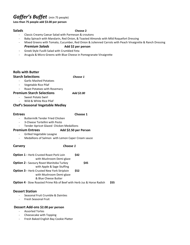## *Gaffer's Buffet* (min 75 people)

**Less than 75 people add \$3.00 per person**

#### **Salads Choose 2**

- Classic Creamy Caesar Salad with Parmesan & croutons
- Baby Spinach with Mandarin, Red Onion, & Toasted Almonds with Mild Roquefort Dressing
- Mixed Greens with Tomato, Cucumber, Red Onion & Julienned Carrots with Peach Vinaigrette & Ranch Dressing *Premium Salads* **Add \$2 per person**
- Greek Style Fusilli Salad with Crumbled Feta
- Arugula & Micro Greens with Blue Cheese in Pomegranate Vinaigrette

#### **Rolls with Butter Starch Selections** *Choose 1*

- Garlic Mashed Potatoes
- Vegetable Rice Pilaf
- Roast Potatoes with Rosemary

#### **Premium Starch Selections** *Add \$2.00*

- Sweet Potato Swirl Wild & White Rice Pilaf
- **Chef's Seasonal Vegetable Medley**

#### **Entrees Choose 1**

- Buttermilk Tender Fried Chicken
- 3-Cheese Tortellini with Pesto
- Tender Apricot Glazed Chicken Medallions

#### **Premium Entrees Add \$2.50 per Person**

- Grilled Vegetable Lasagne
- Medallions of Salmon with Lemon Caper Cream sauce

#### **Carvery** *Choose 1*

| Option 1 - Herb Crusted Roast Pork Loin                                       | <b>S42</b> |            |      |
|-------------------------------------------------------------------------------|------------|------------|------|
| with Mushroom Demi-glaze                                                      |            |            |      |
| <b>Option 2 - Savoury Roast Manitoba Turkey</b>                               |            | <b>S45</b> |      |
| with Apple & Sage Stuffing                                                    |            |            |      |
| <b>Option 3 - Herb Crusted New York Striploin</b>                             | \$52       |            |      |
| with Mushroom Demi-glaze                                                      |            |            |      |
| & Blue Cheese Butter                                                          |            |            |      |
| <b>Option 4</b> - Slow Roasted Prime Rib of Beef with Herb Jus & Horse Radish |            |            | \$55 |

#### **Dessert Station**

- Seasonal Fruit Crumble & Dainties
- Fresh Seasonal Fruit

#### **Dessert Add-ons \$2.00 per person**

- Assorted Tortes
- Cheesecake with Topping
- Fresh Baked English Bay Cookie Platter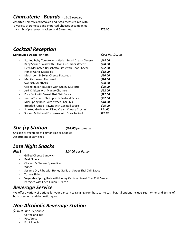## *Charcuterie Boards* ( *12-15 people )*

Assorted Thinly Sliced Smoked and Aged Meats Paired with a Variety of Domestic and Imported Cheeses accompanied by a mix of preserves, crackers and Garnishes.  $\sim$  \$75.00

## *Cocktail Reception*

#### **Minimum 3 Dozen Per Item** *Cost Per Dozen*

- Stuffed Baby Tomato with Herb Infused Cream Cheese *\$18.00*
- Baby Shrimp Salad with Dill on Cucumber Wheels *\$20.00*
- Herb Marinated Bruschetta Bites with Goat Cheese *\$22.00*
- Honey Garlic Meatballs *\$18.00*
- Mushroom & Swiss Cheese Flatbread *\$20.00*
- Mediterranean Flatbread *\$20.00*
- Swedish Meatballs *\$20.00*
- Grilled Italian Sausage with Grainy Mustard *\$20.00*
- Jerk Chicken with Mango Chutney *\$22.00*
- Pork Saté with Sweet Thai Chili Sauce *\$22.00*
- Jumbo Torpedo Shrimp with Seafood Sauce *\$32.00*
- Mini Spring Rolls with Sweet Thai Chili *\$18.00*
- Breaded Jumbo Prawns with Cocktail Sauce *\$26.00*
- Smoked Goldeye on Dilled Cream Cheese Crostini *\$24.00*
- Shrimp & Pickerel Fish cakes with Sriracha Aioli *\$26.00*

## *Stir-fry Station \$14.00 per person*

Chicken or vegetable stir-fry on rice or noodles Assortment of garnishes

## *Late Night Snacks*

*Pick 3 \$14.00 per Person*

- Grilled Cheese Sandwich
- Beef Sliders
- Chicken & Cheese Quesadilla
- **Wings**
- Sesame Dry Ribs with Honey Garlic or Sweet Thai Chili Sauce
- Turkey Sliders
- Vegetable Spring Rolls with Honey Garlic or Sweet Thai Chili Sauce
- Perogies with Fried Onion & Bacon

## *Beverage Service*

We offer a variety of options for your bar service ranging from host bar to cash bar. All options include Beer, Wine, and Spirits of both premium and domestic liquor.

## *Non Alcoholic Beverage Station*

*\$110.00 per 25 people*

- Coffee and Tea
- Pop/ Juice
- **Fruit Punch**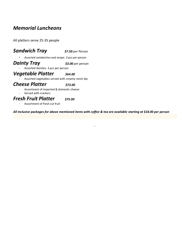## *Memorial Luncheons*

All platters serve 25-35 people

#### *Sandwich Tray \$7.50 per Person*

- *Assorted sandwiches and wraps. 3 pcs per person*

*Dainty Tray \$3.00 per person*

Assorted dainties. 3 pcs per person

#### *Vegetable Platter \$64.00*

Assorted vegetables served with creamy ranch dip

## **Cheese Platter** *\$73.00*

- Assortment of imported & domestic cheese
- Served with crackers

#### *Fresh Fruit Platter \$75.00*

- Assortment of fresh cut fruit

*All Inclusive packages for above mentioned items with coffee & tea are available starting at \$18.00 per person*

.